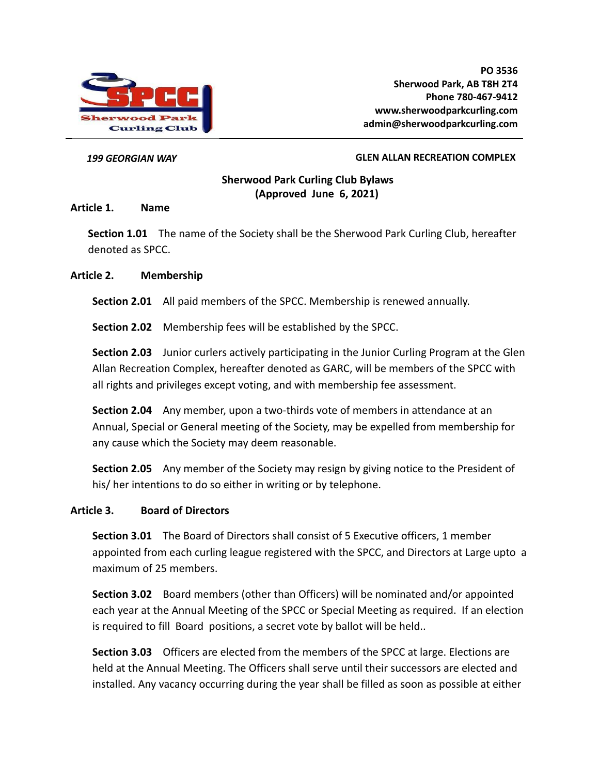

#### *199 GEORGIAN WAY* **GLEN ALLAN RECREATION COMPLEX**

# **Sherwood Park Curling Club Bylaws (Approved June 6, 2021)**

#### **Article 1. Name**

**Section 1.01** The name of the Society shall be the Sherwood Park Curling Club, hereafter denoted as SPCC.

#### **Article 2. Membership**

**Section 2.01** All paid members of the SPCC. Membership is renewed annually.

**Section 2.02** Membership fees will be established by the SPCC.

**Section 2.03** Junior curlers actively participating in the Junior Curling Program at the Glen Allan Recreation Complex, hereafter denoted as GARC, will be members of the SPCC with all rights and privileges except voting, and with membership fee assessment.

**Section 2.04** Any member, upon a two-thirds vote of members in attendance at an Annual, Special or General meeting of the Society, may be expelled from membership for any cause which the Society may deem reasonable.

**Section 2.05** Any member of the Society may resign by giving notice to the President of his/ her intentions to do so either in writing or by telephone.

#### **Article 3. Board of Directors**

**Section 3.01** The Board of Directors shall consist of 5 Executive officers, 1 member appointed from each curling league registered with the SPCC, and Directors at Large upto a maximum of 25 members.

**Section 3.02** Board members (other than Officers) will be nominated and/or appointed each year at the Annual Meeting of the SPCC or Special Meeting as required. If an election is required to fill Board positions, a secret vote by ballot will be held..

**Section 3.03** Officers are elected from the members of the SPCC at large. Elections are held at the Annual Meeting. The Officers shall serve until their successors are elected and installed. Any vacancy occurring during the year shall be filled as soon as possible at either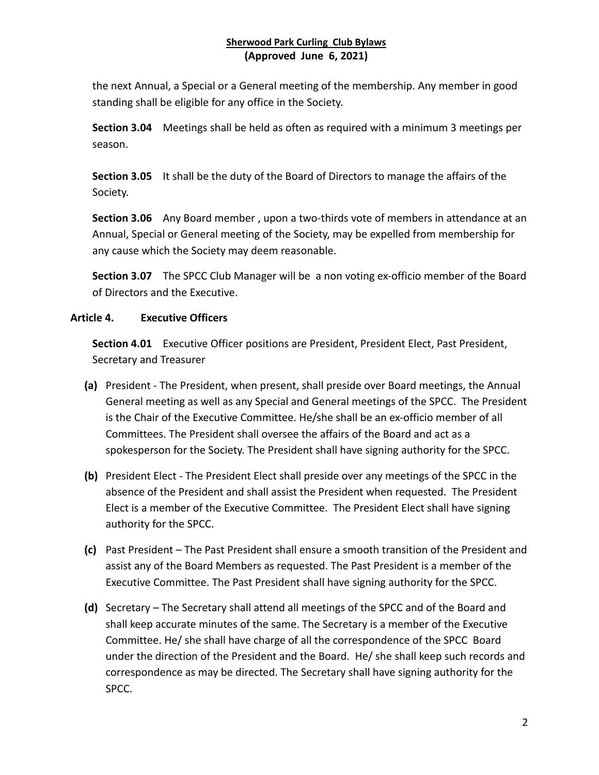the next Annual, a Special or a General meeting of the membership. Any member in good standing shall be eligible for any office in the Society.

**Section 3.04** Meetings shall be held as often as required with a minimum 3 meetings per season.

**Section 3.05** It shall be the duty of the Board of Directors to manage the affairs of the Society.

**Section 3.06** Any Board member , upon a two-thirds vote of members in attendance at an Annual, Special or General meeting of the Society, may be expelled from membership for any cause which the Society may deem reasonable.

**Section 3.07** The SPCC Club Manager will be a non voting ex-officio member of the Board of Directors and the Executive.

## **Article 4. Executive Officers**

**Section 4.01** Executive Officer positions are President, President Elect, Past President, Secretary and Treasurer

- **(a)** President The President, when present, shall preside over Board meetings, the Annual General meeting as well as any Special and General meetings of the SPCC. The President is the Chair of the Executive Committee. He/she shall be an ex-officio member of all Committees. The President shall oversee the affairs of the Board and act as a spokesperson for the Society. The President shall have signing authority for the SPCC.
- **(b)** President Elect The President Elect shall preside over any meetings of the SPCC in the absence of the President and shall assist the President when requested. The President Elect is a member of the Executive Committee. The President Elect shall have signing authority for the SPCC.
- **(c)** Past President The Past President shall ensure a smooth transition of the President and assist any of the Board Members as requested. The Past President is a member of the Executive Committee. The Past President shall have signing authority for the SPCC.
- **(d)** Secretary The Secretary shall attend all meetings of the SPCC and of the Board and shall keep accurate minutes of the same. The Secretary is a member of the Executive Committee. He/ she shall have charge of all the correspondence of the SPCC Board under the direction of the President and the Board. He/ she shall keep such records and correspondence as may be directed. The Secretary shall have signing authority for the SPCC.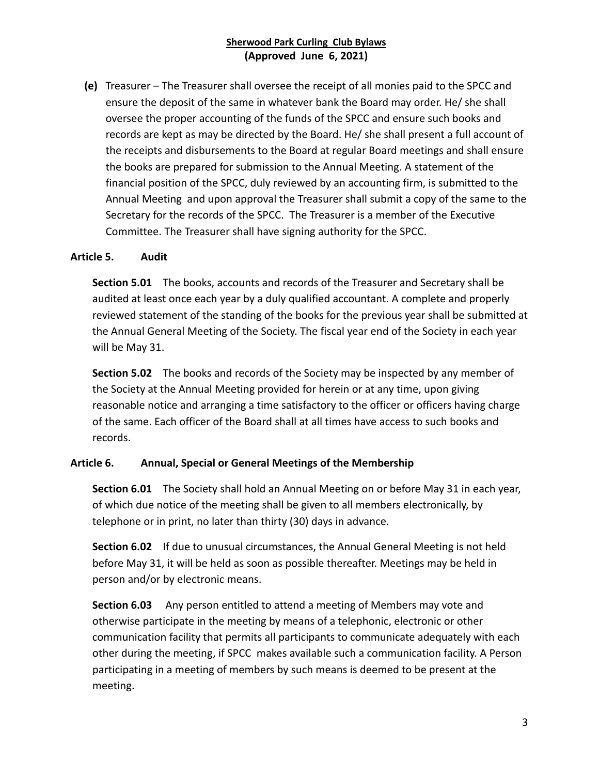**(e)** Treasurer – The Treasurer shall oversee the receipt of all monies paid to the SPCC and ensure the deposit of the same in whatever bank the Board may order. He/ she shall oversee the proper accounting of the funds of the SPCC and ensure such books and records are kept as may be directed by the Board. He/ she shall present a full account of the receipts and disbursements to the Board at regular Board meetings and shall ensure the books are prepared for submission to the Annual Meeting. A statement of the financial position of the SPCC, duly reviewed by an accounting firm, is submitted to the Annual Meeting and upon approval the Treasurer shall submit a copy of the same to the Secretary for the records of the SPCC. The Treasurer is a member of the Executive Committee. The Treasurer shall have signing authority for the SPCC.

## **Article 5. Audit**

**Section 5.01** The books, accounts and records of the Treasurer and Secretary shall be audited at least once each year by a duly qualified accountant. A complete and properly reviewed statement of the standing of the books for the previous year shall be submitted at the Annual General Meeting of the Society. The fiscal year end of the Society in each year will be May 31.

**Section 5.02** The books and records of the Society may be inspected by any member of the Society at the Annual Meeting provided for herein or at any time, upon giving reasonable notice and arranging a time satisfactory to the officer or officers having charge of the same. Each officer of the Board shall at all times have access to such books and records.

## **Article 6. Annual, Special or General Meetings of the Membership**

**Section 6.01** The Society shall hold an Annual Meeting on or before May 31 in each year, of which due notice of the meeting shall be given to all members electronically, by telephone or in print, no later than thirty (30) days in advance.

**Section 6.02** If due to unusual circumstances, the Annual General Meeting is not held before May 31, it will be held as soon as possible thereafter. Meetings may be held in person and/or by electronic means.

**Section 6.03** Any person entitled to attend a meeting of Members may vote and otherwise participate in the meeting by means of a telephonic, electronic or other communication facility that permits all participants to communicate adequately with each other during the meeting, if SPCC makes available such a communication facility. A Person participating in a meeting of members by such means is deemed to be present at the meeting.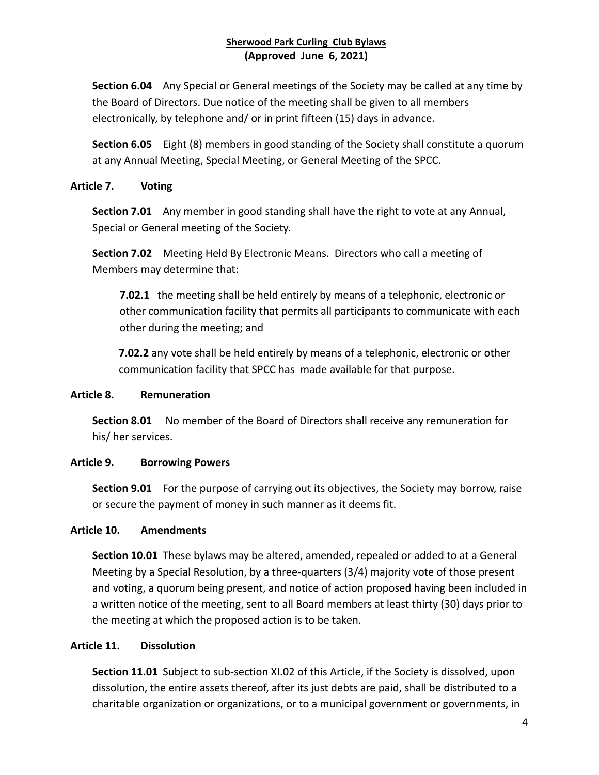**Section 6.04** Any Special or General meetings of the Society may be called at any time by the Board of Directors. Due notice of the meeting shall be given to all members electronically, by telephone and/ or in print fifteen (15) days in advance.

**Section 6.05** Eight (8) members in good standing of the Society shall constitute a quorum at any Annual Meeting, Special Meeting, or General Meeting of the SPCC.

## **Article 7. Voting**

**Section 7.01** Any member in good standing shall have the right to vote at any Annual, Special or General meeting of the Society.

**Section 7.02** Meeting Held By Electronic Means. Directors who call a meeting of Members may determine that:

**7.02.1** the meeting shall be held entirely by means of a telephonic, electronic or other communication facility that permits all participants to communicate with each other during the meeting; and

**7.02.2** any vote shall be held entirely by means of a telephonic, electronic or other communication facility that SPCC has made available for that purpose.

# **Article 8. Remuneration**

**Section 8.01** No member of the Board of Directors shall receive any remuneration for his/ her services.

# **Article 9. Borrowing Powers**

**Section 9.01** For the purpose of carrying out its objectives, the Society may borrow, raise or secure the payment of money in such manner as it deems fit.

## **Article 10. Amendments**

**Section 10.01** These bylaws may be altered, amended, repealed or added to at a General Meeting by a Special Resolution, by a three-quarters (3/4) majority vote of those present and voting, a quorum being present, and notice of action proposed having been included in a written notice of the meeting, sent to all Board members at least thirty (30) days prior to the meeting at which the proposed action is to be taken.

## **Article 11. Dissolution**

**Section 11.01** Subject to sub-section XI.02 of this Article, if the Society is dissolved, upon dissolution, the entire assets thereof, after its just debts are paid, shall be distributed to a charitable organization or organizations, or to a municipal government or governments, in